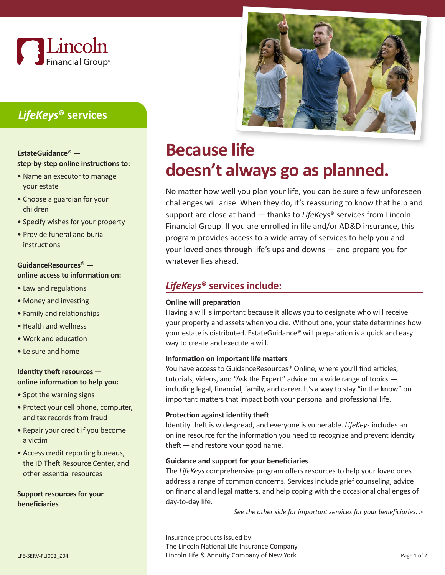

# *LifeKeys***® services**

### **EstateGuidance**®  **step-by-step online instructions to:**

- Name an executor to manage your estate
- Choose a guardian for your children
- Specify wishes for your property
- Provide funeral and burial instructions

### **GuidanceResources**®  **online access to information on:**

- Law and regulations
- Money and investing
- Family and relationships
- Health and wellness
- Work and education
- Leisure and home

### **Identity theft resources online information to help you:**

- Spot the warning signs
- Protect your cell phone, computer, and tax records from fraud
- Repair your credit if you become a victim
- Access credit reporting bureaus, the ID Theft Resource Center, and other essential resources

**Support resources for your beneficiaries**



# **Because life doesn't always go as planned.**

No matter how well you plan your life, you can be sure a few unforeseen challenges will arise. When they do, it's reassuring to know that help and support are close at hand — thanks to *LifeKeys*® services from Lincoln Financial Group. If you are enrolled in life and/or AD&D insurance, this program provides access to a wide array of services to help you and your loved ones through life's ups and downs — and prepare you for whatever lies ahead.

## *LifeKeys***® services include:**

### **Online will preparation**

Having a will is important because it allows you to designate who will receive your property and assets when you die. Without one, your state determines how your estate is distributed. EstateGuidance® will preparation is a quick and easy way to create and execute a will.

### **Information on important life matters**

You have access to GuidanceResources® Online, where you'll find articles, tutorials, videos, and "Ask the Expert" advice on a wide range of topics  including legal, financial, family, and career. It's a way to stay "in the know" on important matters that impact both your personal and professional life.

### **Protection against identity theft**

Identity theft is widespread, and everyone is vulnerable. *LifeKeys* includes an online resource for the information you need to recognize and prevent identity theft — and restore your good name.

### **Guidance and support for your beneficiaries**

The *LifeKeys* comprehensive program offers resources to help your loved ones address a range of common concerns. Services include grief counseling, advice on financial and legal matters, and help coping with the occasional challenges of day-to-day life.

*See the other side for important services for your beneficiaries. >*

Insurance products issued by: The Lincoln National Life Insurance Company LFE-SERV-FLI002\_Z04 Lincoln Life & Annuity Company of New York Page 1 of 2